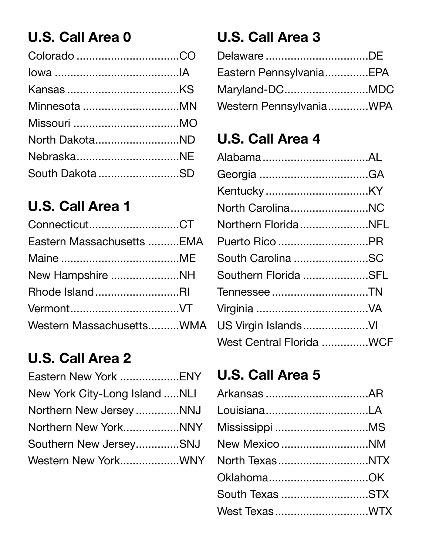## **U.S. Call Area 0**

| North DakotaND  |  |
|-----------------|--|
|                 |  |
| South Dakota SD |  |

## **U.S. Call Area 1**

| ConnecticutCT             |  |
|---------------------------|--|
| Eastern Massachusetts EMA |  |
|                           |  |
| New Hampshire NH          |  |
| Rhode IslandRI            |  |
|                           |  |
| Western MassachusettsWMA  |  |

#### **U.S. Call Area 2**

| New York City-Long Island NLI |  |
|-------------------------------|--|
| Northern New Jersey NNJ       |  |
| Northern New YorkNNY          |  |
| Southern New JerseySNJ        |  |
| Western New YorkWNY           |  |
|                               |  |

## **U.S. Call Area 3**

| DelawareDE              |  |
|-------------------------|--|
| Eastern PennsylvaniaEPA |  |
| Maryland-DCMDC          |  |
| Western PennsylvaniaWPA |  |

#### **U.S. Call Area 4**

| North CarolinaNC         |  |
|--------------------------|--|
| Northern FloridaNFL      |  |
| Puerto Rico PR           |  |
| South Carolina SC        |  |
| Southern Florida SFL     |  |
| Tennessee TN             |  |
|                          |  |
| US Virgin IslandsVI      |  |
| West Central Florida WCF |  |

#### **U.S. Call Area 5**

| New Mexico NM   |  |
|-----------------|--|
| North TexasNTX  |  |
|                 |  |
| South Texas STX |  |
| West TexasWTX   |  |